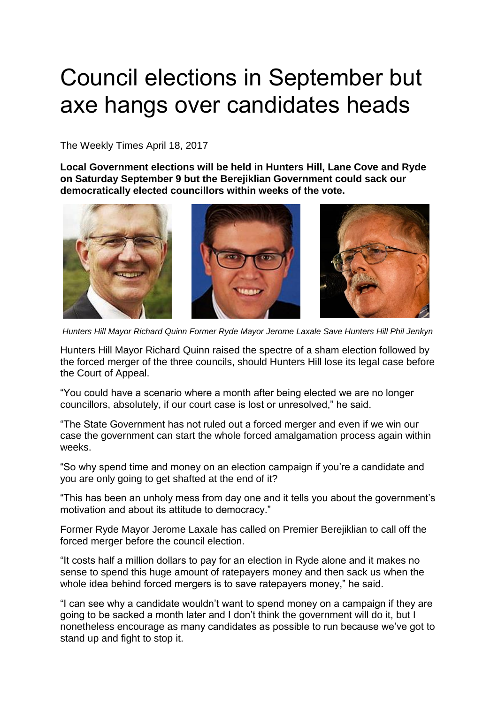## Council elections in September but axe hangs over candidates heads

The Weekly Times April 18, 2017

**Local Government elections will be held in Hunters Hill, Lane Cove and Ryde on Saturday September 9 but the Berejiklian Government could sack our democratically elected councillors within weeks of the vote.**



*Hunters Hill Mayor Richard Quinn Former Ryde Mayor Jerome Laxale Save Hunters Hill Phil Jenkyn* 

Hunters Hill Mayor Richard Quinn raised the spectre of a sham election followed by the forced merger of the three councils, should Hunters Hill lose its legal case before the Court of Appeal.

"You could have a scenario where a month after being elected we are no longer councillors, absolutely, if our court case is lost or unresolved," he said.

"The State Government has not ruled out a forced merger and even if we win our case the government can start the whole forced amalgamation process again within weeks.

"So why spend time and money on an election campaign if you're a candidate and you are only going to get shafted at the end of it?

"This has been an unholy mess from day one and it tells you about the government's motivation and about its attitude to democracy."

Former Ryde Mayor Jerome Laxale has called on Premier Berejiklian to call off the forced merger before the council election.

"It costs half a million dollars to pay for an election in Ryde alone and it makes no sense to spend this huge amount of ratepayers money and then sack us when the whole idea behind forced mergers is to save ratepayers money," he said.

"I can see why a candidate wouldn't want to spend money on a campaign if they are going to be sacked a month later and I don't think the government will do it, but I nonetheless encourage as many candidates as possible to run because we've got to stand up and fight to stop it.